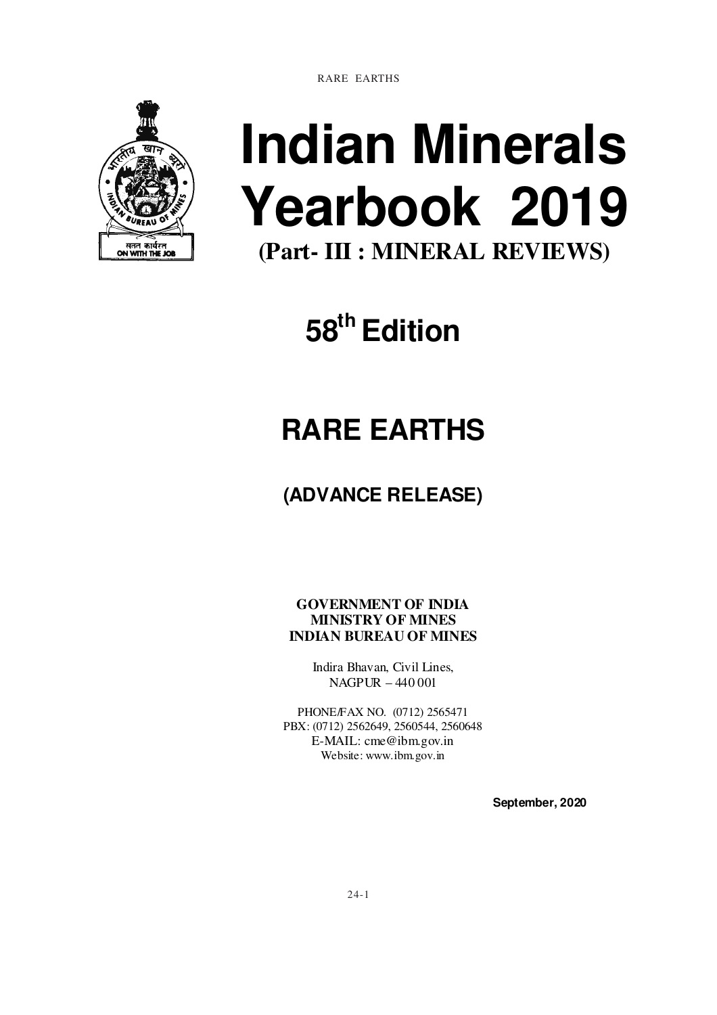RARE EARTHS



# **Indian Minerals Yearbook 2019 (Part- III : MINERAL REVIEWS)**

**58th Edition** 

## **RARE EARTHS**

### **(ADVANCE RELEASE)**

**GOVERNMENT OF INDIA MINISTRY OF MINES INDIAN BUREAU OF MINES** 

> Indira Bhavan, Civil Lines, NAGPUR – 440 001

PHONE/FAX NO. (0712) 2565471 PBX: (0712) 2562649, 2560544, 2560648 E-MAIL: cme@ibm.gov.in Website: www.ibm.gov.in

 **September, 2020**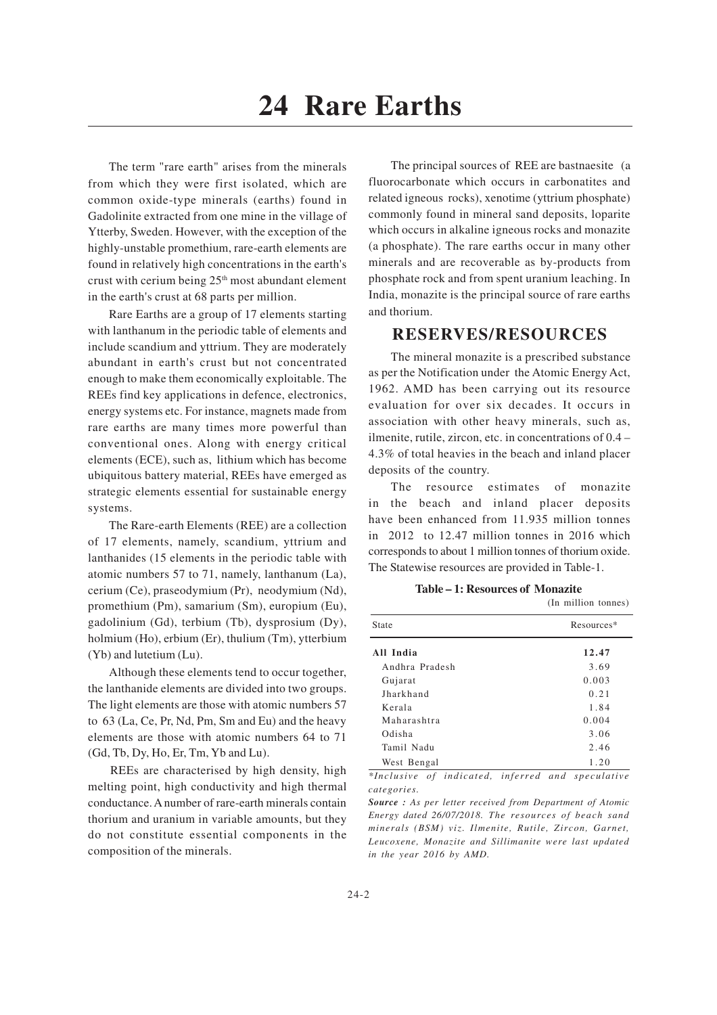The term "rare earth" arises from the minerals from which they were first isolated, which are common oxide-type minerals (earths) found in Gadolinite extracted from one mine in the village of Ytterby, Sweden. However, with the exception of the highly-unstable promethium, rare-earth elements are found in relatively high concentrations in the earth's crust with cerium being 25<sup>th</sup> most abundant element in the earth's crust at 68 parts per million.

Rare Earths are a group of 17 elements starting with lanthanum in the periodic table of elements and include scandium and yttrium. They are moderately abundant in earth's crust but not concentrated enough to make them economically exploitable. The REEs find key applications in defence, electronics, energy systems etc. For instance, magnets made from rare earths are many times more powerful than conventional ones. Along with energy critical elements (ECE), such as, lithium which has become ubiquitous battery material, REEs have emerged as strategic elements essential for sustainable energy systems.

The Rare-earth Elements (REE) are a collection of 17 elements, namely, scandium, yttrium and lanthanides (15 elements in the periodic table with atomic numbers 57 to 71, namely, lanthanum (La), cerium (Ce), praseodymium (Pr), neodymium (Nd), promethium (Pm), samarium (Sm), europium (Eu), gadolinium (Gd), terbium (Tb), dysprosium (Dy), holmium (Ho), erbium (Er), thulium (Tm), ytterbium (Yb) and lutetium (Lu).

Although these elements tend to occur together, the lanthanide elements are divided into two groups. The light elements are those with atomic numbers 57 to 63 (La, Ce, Pr, Nd, Pm, Sm and Eu) and the heavy elements are those with atomic numbers 64 to 71 (Gd, Tb, Dy, Ho, Er, Tm, Yb and Lu).

REEs are characterised by high density, high melting point, high conductivity and high thermal conductance. A number of rare-earth minerals contain thorium and uranium in variable amounts, but they do not constitute essential components in the composition of the minerals.

The principal sources of REE are bastnaesite (a fluorocarbonate which occurs in carbonatites and related igneous rocks), xenotime (yttrium phosphate) commonly found in mineral sand deposits, loparite which occurs in alkaline igneous rocks and monazite (a phosphate). The rare earths occur in many other minerals and are recoverable as by-products from phosphate rock and from spent uranium leaching. In India, monazite is the principal source of rare earths and thorium.

#### **RESERVES/RESOURCES**

The mineral monazite is a prescribed substance as per the Notification under the Atomic Energy Act, 1962. AMD has been carrying out its resource evaluation for over six decades. It occurs in association with other heavy minerals, such as, ilmenite, rutile, zircon, etc. in concentrations of 0.4 – 4.3% of total heavies in the beach and inland placer deposits of the country.

The resource estimates of monazite in the beach and inland placer deposits have been enhanced from 11.935 million tonnes in 2012 to 12.47 million tonnes in 2016 which corresponds to about 1 million tonnes of thorium oxide. The Statewise resources are provided in Table-1.

| Table – 1: Resources of Monazite |  |
|----------------------------------|--|
|----------------------------------|--|

|                | (In million tonnes) |
|----------------|---------------------|
| State          | Resources*          |
| All India      | 12.47               |
| Andhra Pradesh | 3.69                |
| Gujarat        | 0.003               |
| Iharkhand      | 0.21                |
| Kerala         | 1.84                |
| Maharashtra    | 0.004               |
| Odisha         | 3.06                |
| Tamil Nadu     | 2.46                |
| West Bengal    | 1.20                |

*\*Inclusive of indicated, inferred and speculative categories.*

*Source : As per letter received from Department of Atomic Energy dated 26/07/2018. The resources of beach sand minerals (BSM) viz. Ilmenite, Rutile, Zircon, Garnet, Leucoxene, Monazite and Sillimanite were last updated in the year 2016 by AMD.*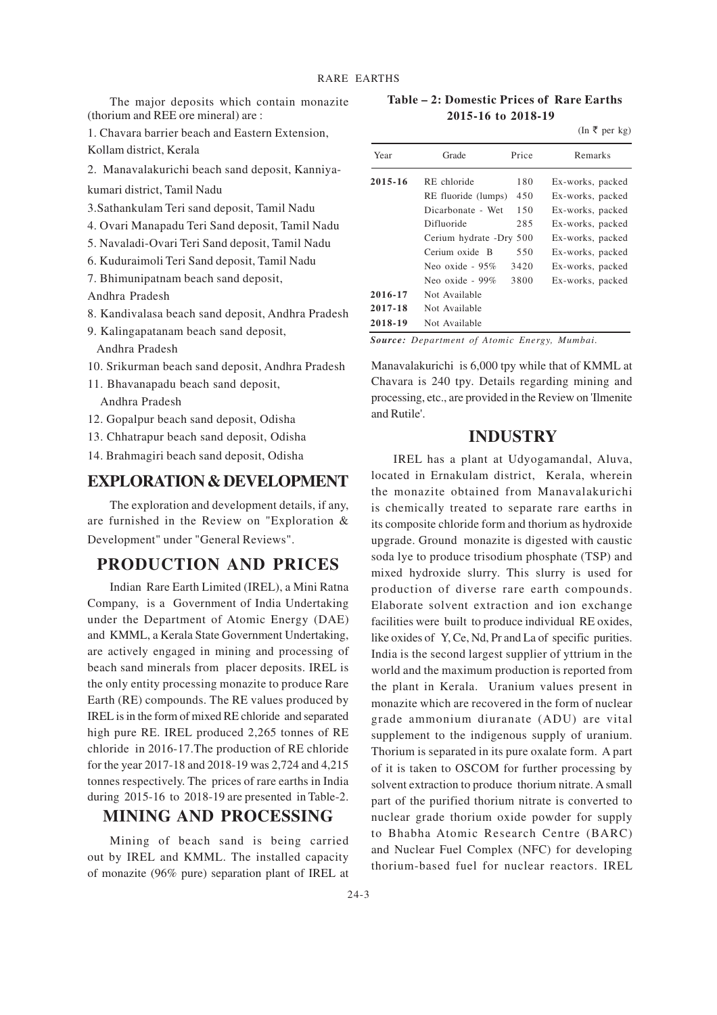The major deposits which contain monazite (thorium and REE ore mineral) are :

1. Chavara barrier beach and Eastern Extension,

Kollam district, Kerala

2. Manavalakurichi beach sand deposit, Kanniya-

kumari district, Tamil Nadu

- 3.Sathankulam Teri sand deposit, Tamil Nadu
- 4. Ovari Manapadu Teri Sand deposit, Tamil Nadu
- 5. Navaladi-Ovari Teri Sand deposit, Tamil Nadu
- 6. Kuduraimoli Teri Sand deposit, Tamil Nadu
- 7. Bhimunipatnam beach sand deposit,

Andhra Pradesh

- 8. Kandivalasa beach sand deposit, Andhra Pradesh
- 9. Kalingapatanam beach sand deposit,
	- Andhra Pradesh
- 10. Srikurman beach sand deposit, Andhra Pradesh
- 11. Bhavanapadu beach sand deposit,

Andhra Pradesh

- 12. Gopalpur beach sand deposit, Odisha
- 13. Chhatrapur beach sand deposit, Odisha
- 14. Brahmagiri beach sand deposit, Odisha

#### **EXPLORATION & DEVELOPMENT**

The exploration and development details, if any, are furnished in the Review on "Exploration & Development" under "General Reviews".

#### **PRODUCTION AND PRICES**

Indian Rare Earth Limited (IREL), a Mini Ratna Company, is a Government of India Undertaking under the Department of Atomic Energy (DAE) and KMML, a Kerala State Government Undertaking, are actively engaged in mining and processing of beach sand minerals from placer deposits. IREL is the only entity processing monazite to produce Rare Earth (RE) compounds. The RE values produced by IREL is in the form of mixed RE chloride and separated high pure RE. IREL produced 2,265 tonnes of RE chloride in 2016-17.The production of RE chloride for the year 2017-18 and 2018-19 was 2,724 and 4,215 tonnes respectively. The prices of rare earths in India during 2015-16 to 2018-19 are presented in Table-2.

#### **MINING AND PROCESSING**

Mining of beach sand is being carried out by IREL and KMML. The installed capacity of monazite (96% pure) separation plant of IREL at

 **Table – 2: Domestic Prices of Rare Earths 2015-16 to 2018-19**

(In  $\bar{\tau}$  per kg)

| Year        | Grade                   | Price | Remarks          |
|-------------|-------------------------|-------|------------------|
| $2015 - 16$ | RE chloride             | 180   | Ex-works, packed |
|             | RE fluoride (lumps)     | 450   | Ex-works, packed |
|             | Dicarbonate - Wet       | 150   | Ex-works, packed |
|             | Difluoride              | 285   | Ex-works, packed |
|             | Cerium hydrate -Dry 500 |       | Ex-works, packed |
|             | Cerium oxide B          | 550   | Ex-works, packed |
|             | Neo oxide - $95\%$      | 3420  | Ex-works, packed |
|             | Neo oxide - $99\%$      | 3800  | Ex-works, packed |
| 2016-17     | Not Available           |       |                  |
| 2017-18     | Not Available           |       |                  |
| 2018-19     | Not Available           |       |                  |

*Source: Department of Atomic Energy, Mumbai.*

Manavalakurichi is 6,000 tpy while that of KMML at Chavara is 240 tpy. Details regarding mining and processing, etc., are provided in the Review on 'Ilmenite and Rutile'.

#### **INDUSTRY**

IREL has a plant at Udyogamandal, Aluva, located in Ernakulam district, Kerala, wherein the monazite obtained from Manavalakurichi is chemically treated to separate rare earths in its composite chloride form and thorium as hydroxide upgrade. Ground monazite is digested with caustic soda lye to produce trisodium phosphate (TSP) and mixed hydroxide slurry. This slurry is used for production of diverse rare earth compounds. Elaborate solvent extraction and ion exchange facilities were built to produce individual RE oxides, like oxides of Y, Ce, Nd, Pr and La of specific purities. India is the second largest supplier of yttrium in the world and the maximum production is reported from the plant in Kerala. Uranium values present in monazite which are recovered in the form of nuclear grade ammonium diuranate (ADU) are vital supplement to the indigenous supply of uranium. Thorium is separated in its pure oxalate form. A part of it is taken to OSCOM for further processing by solvent extraction to produce thorium nitrate. A small part of the purified thorium nitrate is converted to nuclear grade thorium oxide powder for supply to Bhabha Atomic Research Centre (BARC) and Nuclear Fuel Complex (NFC) for developing thorium-based fuel for nuclear reactors. IREL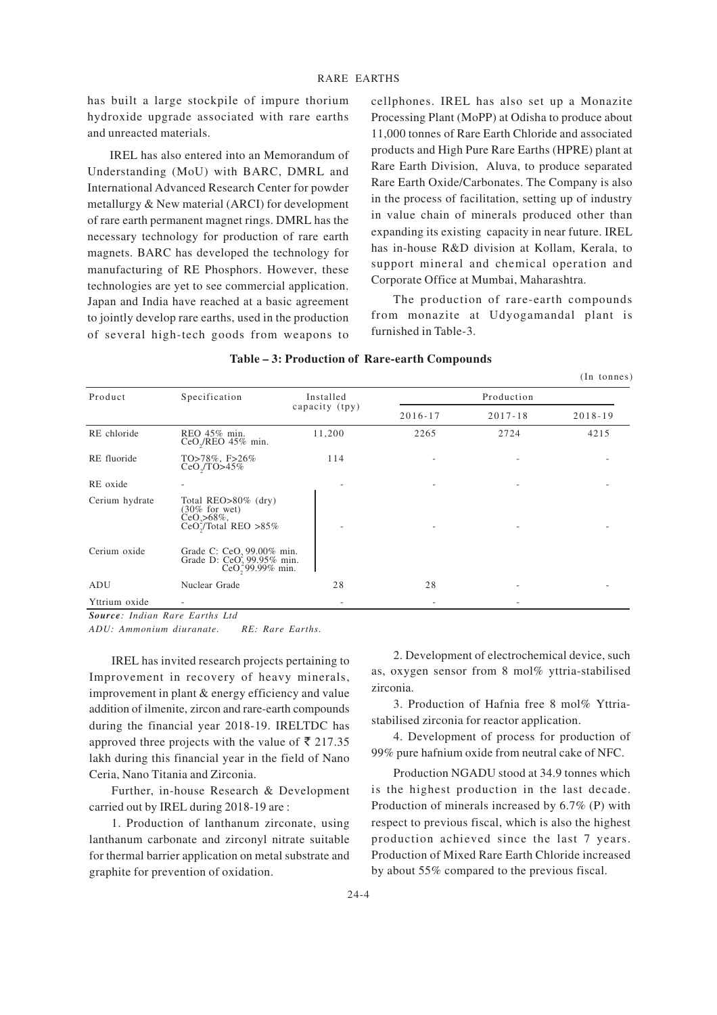has built a large stockpile of impure thorium hydroxide upgrade associated with rare earths and unreacted materials.

IREL has also entered into an Memorandum of Understanding (MoU) with BARC, DMRL and International Advanced Research Center for powder metallurgy & New material (ARCI) for development of rare earth permanent magnet rings. DMRL has the necessary technology for production of rare earth magnets. BARC has developed the technology for manufacturing of RE Phosphors. However, these technologies are yet to see commercial application. Japan and India have reached at a basic agreement to jointly develop rare earths, used in the production of several high-tech goods from weapons to cellphones. IREL has also set up a Monazite Processing Plant (MoPP) at Odisha to produce about 11,000 tonnes of Rare Earth Chloride and associated products and High Pure Rare Earths (HPRE) plant at Rare Earth Division, Aluva, to produce separated Rare Earth Oxide/Carbonates. The Company is also in the process of facilitation, setting up of industry in value chain of minerals produced other than expanding its existing capacity in near future. IREL has in-house R&D division at Kollam, Kerala, to support mineral and chemical operation and Corporate Office at Mumbai, Maharashtra.

The production of rare-earth compounds from monazite at Udyogamandal plant is furnished in Table-3.

|                                                                                                     |           |                                                                                                                      |             | $(In$ tonnes) |  |
|-----------------------------------------------------------------------------------------------------|-----------|----------------------------------------------------------------------------------------------------------------------|-------------|---------------|--|
| Specification                                                                                       | Installed | Production                                                                                                           |             |               |  |
|                                                                                                     |           | $2016 - 17$                                                                                                          | $2017 - 18$ | $2018 - 19$   |  |
| REO 45% min.<br>$CeO$ <sub>/</sub> $REO$ 45% min.                                                   | 11,200    | 2265                                                                                                                 | 2724        | 4215          |  |
| TO>78%, F>26%<br>$CeO$ <sub>1</sub> $TO$ >45%                                                       | 114       |                                                                                                                      |             |               |  |
|                                                                                                     |           | ٠                                                                                                                    |             |               |  |
| Total $REO > 80\%$ (dry)<br>$(30\%$ for wet)<br>$CeO, >68\%$ ,<br>CeO <sub>2</sub> /Total RED > 85% |           |                                                                                                                      |             |               |  |
|                                                                                                     |           |                                                                                                                      |             |               |  |
| Nuclear Grade                                                                                       | 28        | 28                                                                                                                   |             |               |  |
|                                                                                                     |           |                                                                                                                      |             |               |  |
|                                                                                                     | $\cdots$  | capacity (tpy)<br>Grade C: CeO <sub>2</sub> 99.00% min.<br>Grade D: CeO, 99.95% min.<br>CeO <sub>2</sub> 99.99% min. |             |               |  |

#### **Table – 3: Production of Rare-earth Compounds**

*Source: Indian Rare Earths Ltd*

*ADU: Ammonium diuranate. RE: Rare Earths.*

IREL has invited research projects pertaining to Improvement in recovery of heavy minerals, improvement in plant & energy efficiency and value addition of ilmenite, zircon and rare-earth compounds during the financial year 2018-19. IRELTDC has approved three projects with the value of  $\bar{\tau}$  217.35 lakh during this financial year in the field of Nano Ceria, Nano Titania and Zirconia.

Further, in-house Research & Development carried out by IREL during 2018-19 are :

1. Production of lanthanum zirconate, using lanthanum carbonate and zirconyl nitrate suitable for thermal barrier application on metal substrate and graphite for prevention of oxidation.

2. Development of electrochemical device, such as, oxygen sensor from 8 mol% yttria-stabilised zirconia.

3. Production of Hafnia free 8 mol% Yttriastabilised zirconia for reactor application.

4. Development of process for production of 99% pure hafnium oxide from neutral cake of NFC.

Production NGADU stood at 34.9 tonnes which is the highest production in the last decade. Production of minerals increased by 6.7% (P) with respect to previous fiscal, which is also the highest production achieved since the last 7 years. Production of Mixed Rare Earth Chloride increased by about 55% compared to the previous fiscal.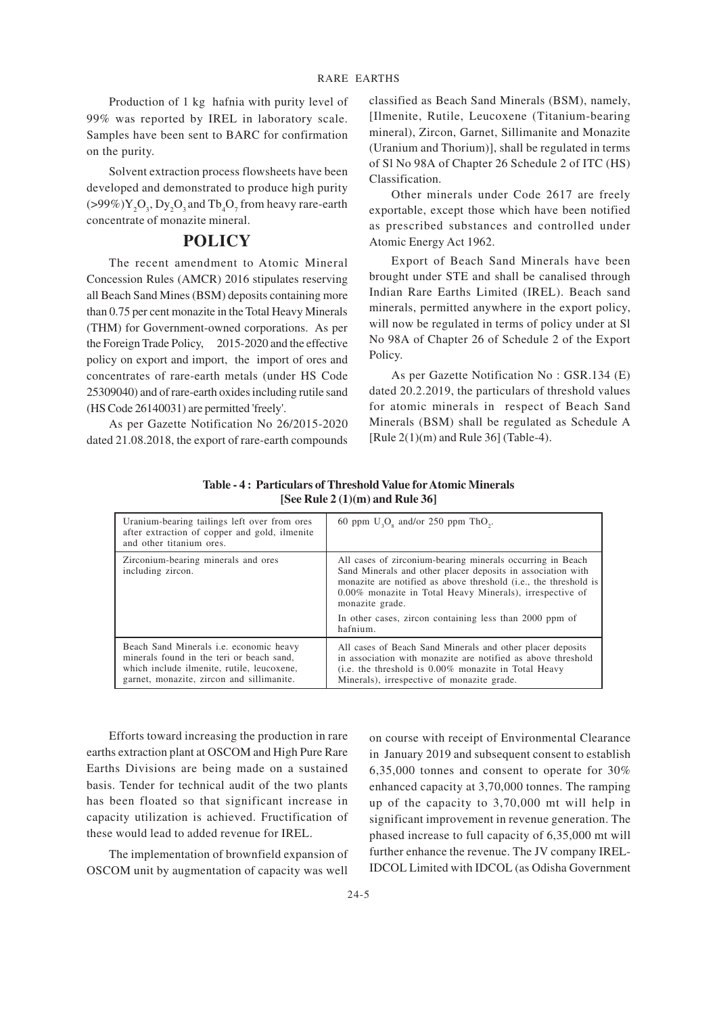Production of 1 kg hafnia with purity level of 99% was reported by IREL in laboratory scale. Samples have been sent to BARC for confirmation on the purity.

Solvent extraction process flowsheets have been developed and demonstrated to produce high purity  $(>99\%)$ Y<sub>2</sub>O<sub>3</sub>, Dy<sub>2</sub>O<sub>3</sub> and Tb<sub>4</sub>O<sub>7</sub> from heavy rare-earth concentrate of monazite mineral.

#### **POLICY**

The recent amendment to Atomic Mineral Concession Rules (AMCR) 2016 stipulates reserving all Beach Sand Mines (BSM) deposits containing more than 0.75 per cent monazite in the Total Heavy Minerals (THM) for Government-owned corporations. As per the Foreign Trade Policy, 2015-2020 and the effective policy on export and import, the import of ores and concentrates of rare-earth metals (under HS Code 25309040) and of rare-earth oxides including rutile sand (HS Code 26140031) are permitted 'freely'.

As per Gazette Notification No 26/2015-2020 dated 21.08.2018, the export of rare-earth compounds

classified as Beach Sand Minerals (BSM), namely, [Ilmenite, Rutile, Leucoxene (Titanium-bearing mineral), Zircon, Garnet, Sillimanite and Monazite (Uranium and Thorium)], shall be regulated in terms of Sl No 98A of Chapter 26 Schedule 2 of ITC (HS) Classification.

Other minerals under Code 2617 are freely exportable, except those which have been notified as prescribed substances and controlled under Atomic Energy Act 1962.

Export of Beach Sand Minerals have been brought under STE and shall be canalised through Indian Rare Earths Limited (IREL). Beach sand minerals, permitted anywhere in the export policy, will now be regulated in terms of policy under at Sl No 98A of Chapter 26 of Schedule 2 of the Export Policy.

As per Gazette Notification No : GSR.134 (E) dated 20.2.2019, the particulars of threshold values for atomic minerals in respect of Beach Sand Minerals (BSM) shall be regulated as Schedule A [Rule  $2(1)(m)$  and Rule 36] (Table-4).

| Uranium-bearing tailings left over from ores<br>after extraction of copper and gold, ilmenite<br>and other titanium ores.                                                              | 60 ppm $U_3O_8$ and/or 250 ppm ThO <sub>2</sub> .                                                                                                                                                                                                                                                                                                   |
|----------------------------------------------------------------------------------------------------------------------------------------------------------------------------------------|-----------------------------------------------------------------------------------------------------------------------------------------------------------------------------------------------------------------------------------------------------------------------------------------------------------------------------------------------------|
| Zirconium-bearing minerals and ores<br>including zircon.                                                                                                                               | All cases of zirconium-bearing minerals occurring in Beach<br>Sand Minerals and other placer deposits in association with<br>monazite are notified as above threshold (i.e., the threshold is<br>0.00% monazite in Total Heavy Minerals), irrespective of<br>monazite grade.<br>In other cases, zircon containing less than 2000 ppm of<br>hafnium. |
| Beach Sand Minerals <i>i.e.</i> economic heavy<br>minerals found in the teri or beach sand,<br>which include ilmenite, rutile, leucoxene,<br>garnet, monazite, zircon and sillimanite. | All cases of Beach Sand Minerals and other placer deposits<br>in association with monazite are notified as above threshold<br>(i.e. the threshold is 0.00% monazite in Total Heavy<br>Minerals), irrespective of monazite grade.                                                                                                                    |

**Table - 4: Particulars of Threshold Value for Atomic Minerals [See Rule 2 (1)(m) and Rule 36]**

Efforts toward increasing the production in rare earths extraction plant at OSCOM and High Pure Rare Earths Divisions are being made on a sustained basis. Tender for technical audit of the two plants has been floated so that significant increase in capacity utilization is achieved. Fructification of these would lead to added revenue for IREL.

The implementation of brownfield expansion of OSCOM unit by augmentation of capacity was well on course with receipt of Environmental Clearance in January 2019 and subsequent consent to establish 6,35,000 tonnes and consent to operate for 30% enhanced capacity at 3,70,000 tonnes. The ramping up of the capacity to 3,70,000 mt will help in significant improvement in revenue generation. The phased increase to full capacity of 6,35,000 mt will further enhance the revenue. The JV company IREL-IDCOL Limited with IDCOL (as Odisha Government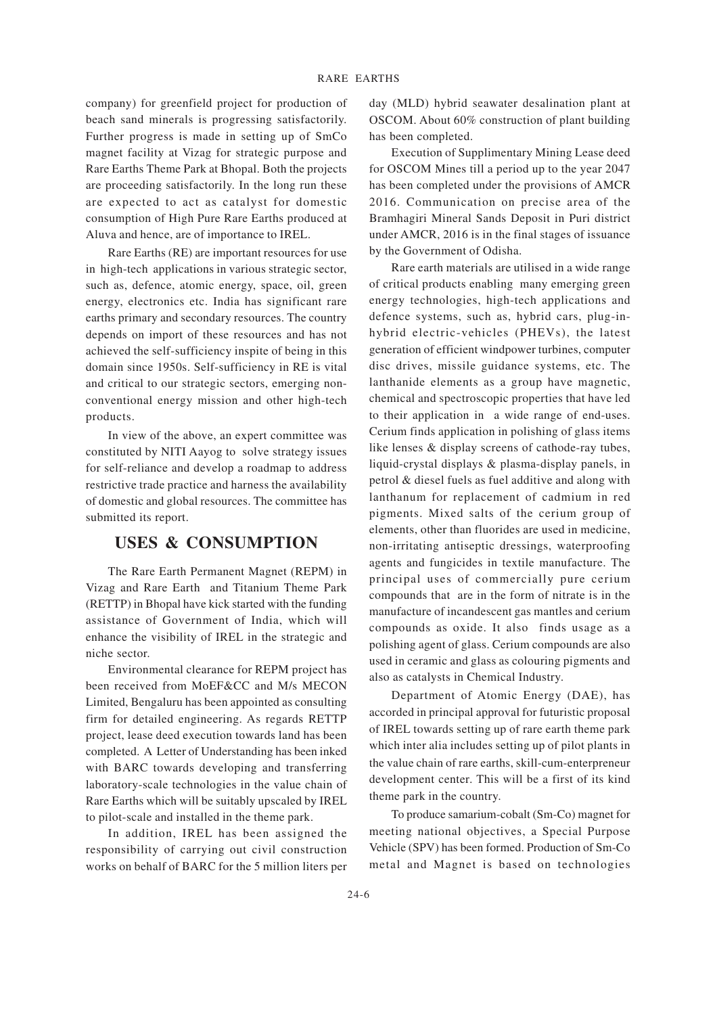company) for greenfield project for production of beach sand minerals is progressing satisfactorily. Further progress is made in setting up of SmCo magnet facility at Vizag for strategic purpose and Rare Earths Theme Park at Bhopal. Both the projects are proceeding satisfactorily. In the long run these are expected to act as catalyst for domestic consumption of High Pure Rare Earths produced at Aluva and hence, are of importance to IREL.

Rare Earths (RE) are important resources for use in high-tech applications in various strategic sector, such as, defence, atomic energy, space, oil, green energy, electronics etc. India has significant rare earths primary and secondary resources. The country depends on import of these resources and has not achieved the self-sufficiency inspite of being in this domain since 1950s. Self-sufficiency in RE is vital and critical to our strategic sectors, emerging nonconventional energy mission and other high-tech products.

In view of the above, an expert committee was constituted by NITI Aayog to solve strategy issues for self-reliance and develop a roadmap to address restrictive trade practice and harness the availability of domestic and global resources. The committee has submitted its report.

#### **USES & CONSUMPTION**

The Rare Earth Permanent Magnet (REPM) in Vizag and Rare Earth and Titanium Theme Park (RETTP) in Bhopal have kick started with the funding assistance of Government of India, which will enhance the visibility of IREL in the strategic and niche sector.

Environmental clearance for REPM project has been received from MoEF&CC and M/s MECON Limited, Bengaluru has been appointed as consulting firm for detailed engineering. As regards RETTP project, lease deed execution towards land has been completed. A Letter of Understanding has been inked with BARC towards developing and transferring laboratory-scale technologies in the value chain of Rare Earths which will be suitably upscaled by IREL to pilot-scale and installed in the theme park.

In addition, IREL has been assigned the responsibility of carrying out civil construction works on behalf of BARC for the 5 million liters per day (MLD) hybrid seawater desalination plant at OSCOM. About 60% construction of plant building has been completed.

Execution of Supplimentary Mining Lease deed for OSCOM Mines till a period up to the year 2047 has been completed under the provisions of AMCR 2016. Communication on precise area of the Bramhagiri Mineral Sands Deposit in Puri district under AMCR, 2016 is in the final stages of issuance by the Government of Odisha.

Rare earth materials are utilised in a wide range of critical products enabling many emerging green energy technologies, high-tech applications and defence systems, such as, hybrid cars, plug-inhybrid electric-vehicles (PHEVs), the latest generation of efficient windpower turbines, computer disc drives, missile guidance systems, etc. The lanthanide elements as a group have magnetic, chemical and spectroscopic properties that have led to their application in a wide range of end-uses. Cerium finds application in polishing of glass items like lenses & display screens of cathode-ray tubes, liquid-crystal displays & plasma-display panels, in petrol & diesel fuels as fuel additive and along with lanthanum for replacement of cadmium in red pigments. Mixed salts of the cerium group of elements, other than fluorides are used in medicine, non-irritating antiseptic dressings, waterproofing agents and fungicides in textile manufacture. The principal uses of commercially pure cerium compounds that are in the form of nitrate is in the manufacture of incandescent gas mantles and cerium compounds as oxide. It also finds usage as a polishing agent of glass. Cerium compounds are also used in ceramic and glass as colouring pigments and also as catalysts in Chemical Industry.

Department of Atomic Energy (DAE), has accorded in principal approval for futuristic proposal of IREL towards setting up of rare earth theme park which inter alia includes setting up of pilot plants in the value chain of rare earths, skill-cum-enterpreneur development center. This will be a first of its kind theme park in the country.

To produce samarium-cobalt (Sm-Co) magnet for meeting national objectives, a Special Purpose Vehicle (SPV) has been formed. Production of Sm-Co metal and Magnet is based on technologies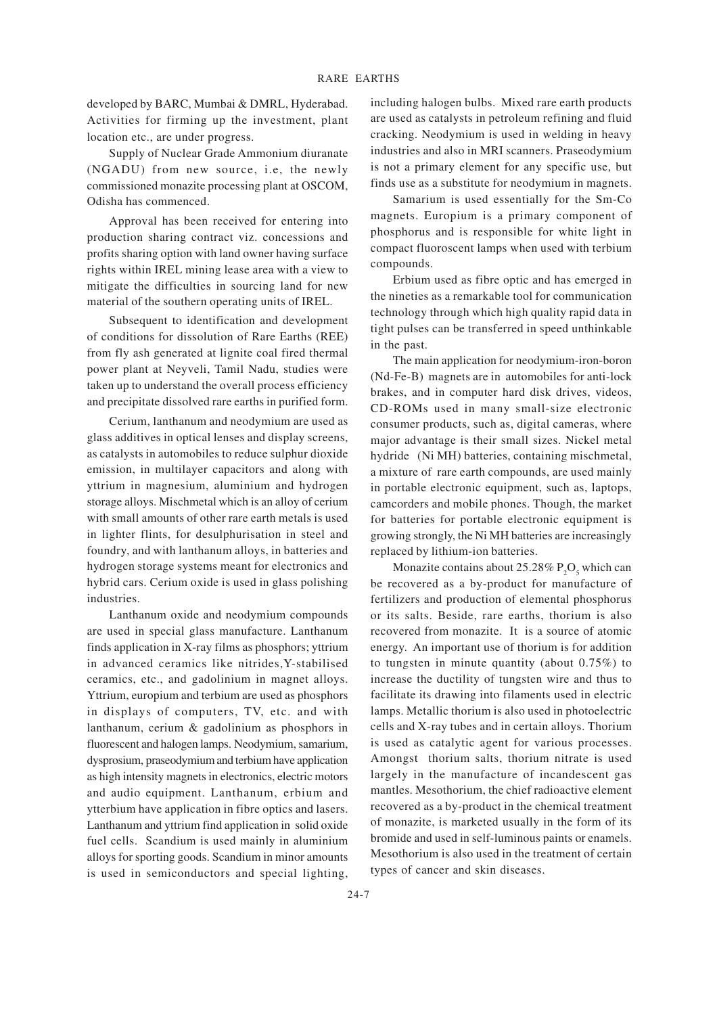developed by BARC, Mumbai & DMRL, Hyderabad. Activities for firming up the investment, plant location etc., are under progress.

Supply of Nuclear Grade Ammonium diuranate (NGADU) from new source, i.e, the newly commissioned monazite processing plant at OSCOM, Odisha has commenced.

Approval has been received for entering into production sharing contract viz. concessions and profits sharing option with land owner having surface rights within IREL mining lease area with a view to mitigate the difficulties in sourcing land for new material of the southern operating units of IREL.

Subsequent to identification and development of conditions for dissolution of Rare Earths (REE) from fly ash generated at lignite coal fired thermal power plant at Neyveli, Tamil Nadu, studies were taken up to understand the overall process efficiency and precipitate dissolved rare earths in purified form.

Cerium, lanthanum and neodymium are used as glass additives in optical lenses and display screens, as catalysts in automobiles to reduce sulphur dioxide emission, in multilayer capacitors and along with yttrium in magnesium, aluminium and hydrogen storage alloys. Mischmetal which is an alloy of cerium with small amounts of other rare earth metals is used in lighter flints, for desulphurisation in steel and foundry, and with lanthanum alloys, in batteries and hydrogen storage systems meant for electronics and hybrid cars. Cerium oxide is used in glass polishing industries.

Lanthanum oxide and neodymium compounds are used in special glass manufacture. Lanthanum finds application in X-ray films as phosphors; yttrium in advanced ceramics like nitrides,Y-stabilised ceramics, etc., and gadolinium in magnet alloys. Yttrium, europium and terbium are used as phosphors in displays of computers, TV, etc. and with lanthanum, cerium & gadolinium as phosphors in fluorescent and halogen lamps. Neodymium, samarium, dysprosium, praseodymium and terbium have application as high intensity magnets in electronics, electric motors and audio equipment. Lanthanum, erbium and ytterbium have application in fibre optics and lasers. Lanthanum and yttrium find application in solid oxide fuel cells. Scandium is used mainly in aluminium alloys for sporting goods. Scandium in minor amounts is used in semiconductors and special lighting, including halogen bulbs. Mixed rare earth products are used as catalysts in petroleum refining and fluid cracking. Neodymium is used in welding in heavy industries and also in MRI scanners. Praseodymium is not a primary element for any specific use, but finds use as a substitute for neodymium in magnets.

Samarium is used essentially for the Sm-Co magnets. Europium is a primary component of phosphorus and is responsible for white light in compact fluoroscent lamps when used with terbium compounds.

Erbium used as fibre optic and has emerged in the nineties as a remarkable tool for communication technology through which high quality rapid data in tight pulses can be transferred in speed unthinkable in the past.

The main application for neodymium-iron-boron (Nd-Fe-B) magnets are in automobiles for anti-lock brakes, and in computer hard disk drives, videos, CD-ROMs used in many small-size electronic consumer products, such as, digital cameras, where major advantage is their small sizes. Nickel metal hydride (Ni MH) batteries, containing mischmetal, a mixture of rare earth compounds, are used mainly in portable electronic equipment, such as, laptops, camcorders and mobile phones. Though, the market for batteries for portable electronic equipment is growing strongly, the Ni MH batteries are increasingly replaced by lithium-ion batteries.

Monazite contains about  $25.28\%$   $P_2O_5$  which can be recovered as a by-product for manufacture of fertilizers and production of elemental phosphorus or its salts. Beside, rare earths, thorium is also recovered from monazite. It is a source of atomic energy. An important use of thorium is for addition to tungsten in minute quantity (about 0.75%) to increase the ductility of tungsten wire and thus to facilitate its drawing into filaments used in electric lamps. Metallic thorium is also used in photoelectric cells and X-ray tubes and in certain alloys. Thorium is used as catalytic agent for various processes. Amongst thorium salts, thorium nitrate is used largely in the manufacture of incandescent gas mantles. Mesothorium, the chief radioactive element recovered as a by-product in the chemical treatment of monazite, is marketed usually in the form of its bromide and used in self-luminous paints or enamels. Mesothorium is also used in the treatment of certain types of cancer and skin diseases.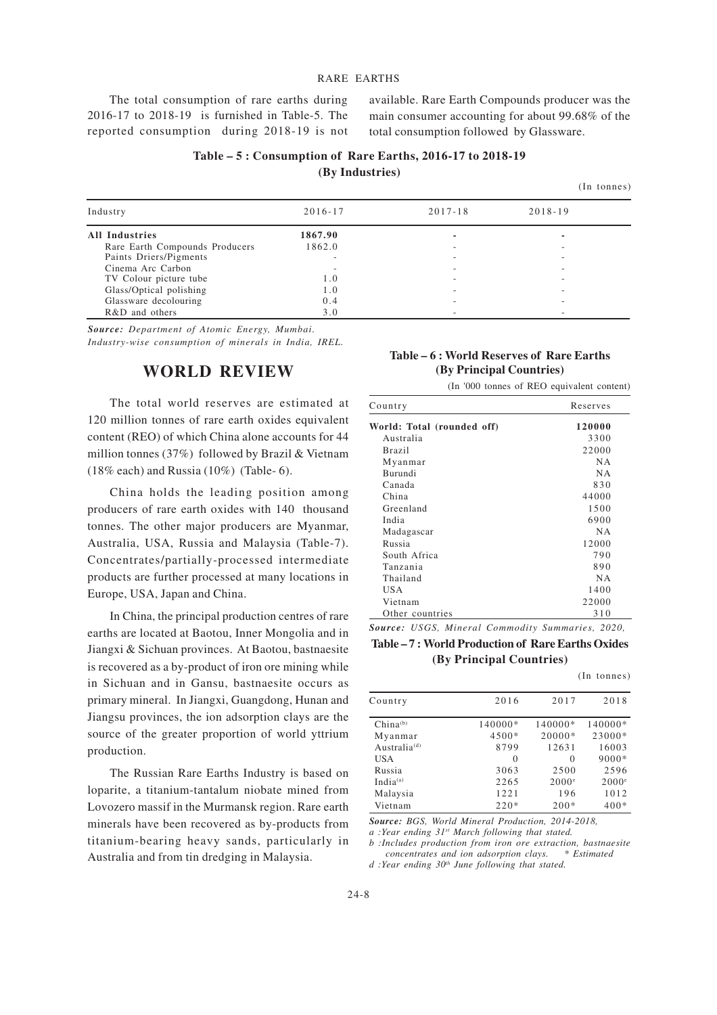#### RARE EARTHS

The total consumption of rare earths during 2016-17 to 2018-19 is furnished in Table-5. The reported consumption during 2018-19 is not available. Rare Earth Compounds producer was the main consumer accounting for about 99.68% of the total consumption followed by Glassware.

| Table – 5: Consumption of Rare Earths, 2016-17 to 2018-19 |
|-----------------------------------------------------------|
| (By Industries)                                           |

|  | $(In$ tonnes) |
|--|---------------|
|--|---------------|

| Industry                       | $2016 - 17$ | $2017 - 18$ | $2018 - 19$ |  |
|--------------------------------|-------------|-------------|-------------|--|
| <b>All Industries</b>          | 1867.90     |             |             |  |
| Rare Earth Compounds Producers | 1862.0      | -           | ۰           |  |
| Paints Driers/Pigments         |             | -           |             |  |
| Cinema Arc Carbon              |             |             |             |  |
| TV Colour picture tube         | 1.0         | ۰           |             |  |
| Glass/Optical polishing        | 1.0         | ۰           |             |  |
| Glassware decolouring          | 0.4         |             |             |  |
| R&D and others                 | 3.0         |             |             |  |

*Source: Department of Atomic Energy, Mumbai. Industry-wise consumption of minerals in India, IREL.*

#### **WORLD REVIEW**

The total world reserves are estimated at 120 million tonnes of rare earth oxides equivalent content (REO) of which China alone accounts for 44 million tonnes (37%) followed by Brazil & Vietnam  $(18\%$  each) and Russia  $(10\%)$  (Table- 6).

China holds the leading position among producers of rare earth oxides with 140 thousand tonnes. The other major producers are Myanmar, Australia, USA, Russia and Malaysia (Table-7). Concentrates/partially-processed intermediate products are further processed at many locations in Europe, USA, Japan and China.

In China, the principal production centres of rare earths are located at Baotou, Inner Mongolia and in Jiangxi & Sichuan provinces. At Baotou, bastnaesite is recovered as a by-product of iron ore mining while in Sichuan and in Gansu, bastnaesite occurs as primary mineral. In Jiangxi, Guangdong, Hunan and Jiangsu provinces, the ion adsorption clays are the source of the greater proportion of world yttrium production.

The Russian Rare Earths Industry is based on loparite, a titanium-tantalum niobate mined from Lovozero massif in the Murmansk region. Rare earth minerals have been recovered as by-products from titanium-bearing heavy sands, particularly in Australia and from tin dredging in Malaysia.

#### **Table – 6 : World Reserves of Rare Earths (By Principal Countries)**

|  |  |  | (In '000 tonnes of REO equivalent content) |  |
|--|--|--|--------------------------------------------|--|
|  |  |  |                                            |  |

| Country                    | Reserves  |
|----------------------------|-----------|
| World: Total (rounded off) | 120000    |
| Australia                  | 3300      |
| <b>Brazil</b>              | 22000     |
| Myanmar                    | <b>NA</b> |
| Burundi                    | <b>NA</b> |
| Canada                     | 830       |
| China                      | 44000     |
| Greenland                  | 1500      |
| India                      | 6900      |
| Madagascar                 | <b>NA</b> |
| Russia                     | 12000     |
| South Africa               | 790       |
| Tanzania                   | 890       |
| Thailand                   | <b>NA</b> |
| USA                        | 1400      |
| Vietnam                    | 22000     |
| Other countries            | 310       |

*Source: USGS, Mineral Commodity Summaries, 2020,*

#### **Table – 7 : World Production of Rare Earths Oxides (By Principal Countries)**

(In tonnes)

| Country                  | 2016     | 2017              | 2018              |
|--------------------------|----------|-------------------|-------------------|
| $China^{(b)}$            | 140000*  | 140000*           | 140000*           |
| Myanmar                  | $4500*$  | 20000*            | 23000*            |
| Australia <sup>(d)</sup> | 8799     | 12631             | 16003             |
| <b>USA</b>               | $\Omega$ | $\Omega$          | 9000*             |
| Russia                   | 3063     | 2500              | 2596              |
| Indi $a^{(a)}$           | 2265     | 2000 <sup>e</sup> | 2000 <sup>e</sup> |
| Malaysia                 | 1221     | 196               | 1012              |
| Vietnam                  | $220*$   | $200*$            | $400*$            |

*Source: BGS, World Mineral Production, 2014-2018,*

*a :Year ending 31st March following that stated.*

*b :Includes production from iron ore extraction, bastnaesite concentrates and ion adsorption clays. \* Estimated*

*d :Year ending 30th June following that stated.*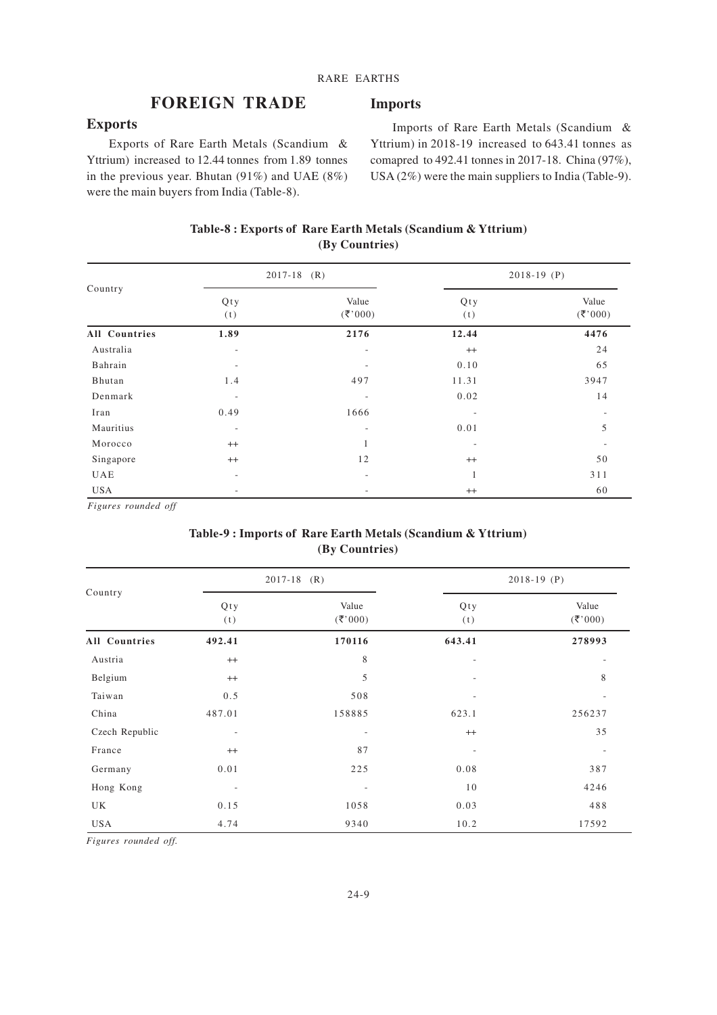**Imports**

#### **FOREIGN TRADE**

#### **Exports**

Exports of Rare Earth Metals (Scandium & Yttrium) increased to 12.44 tonnes from 1.89 tonnes in the previous year. Bhutan (91%) and UAE (8%) were the main buyers from India (Table-8).

Imports of Rare Earth Metals (Scandium & Yttrium) in 2018-19 increased to 643.41 tonnes as comapred to 492.41 tonnes in 2017-18. China (97%), USA (2%) were the main suppliers to India (Table-9).

#### **Table-8 : Exports of Rare Earth Metals (Scandium & Yttrium) (By Countries)**

| Country              |                          | $2017-18$ (R)            | $2018-19$ (P) |                       |  |
|----------------------|--------------------------|--------------------------|---------------|-----------------------|--|
|                      | Qty<br>(t)               | Value<br>(3, 000)        | Qty<br>(t)    | Value<br>$(\xi, 000)$ |  |
| <b>All Countries</b> | 1.89                     | 2176                     | 12.44         | 4476                  |  |
| Australia            | $\overline{\phantom{a}}$ | $\overline{\phantom{a}}$ | $^{++}$       | 24                    |  |
| Bahrain              | $\overline{\phantom{a}}$ | $\overline{\phantom{a}}$ | 0.10          | 65                    |  |
| Bhutan               | 1.4                      | 497                      | 11.31         | 3947                  |  |
| Denmark              | $\overline{\phantom{a}}$ | $\overline{\phantom{a}}$ | 0.02          | 14                    |  |
| Iran                 | 0.49                     | 1666                     |               |                       |  |
| Mauritius            | $\overline{\phantom{a}}$ | -                        | 0.01          | 5                     |  |
| Morocco              | $^{++}$                  |                          |               |                       |  |
| Singapore            | $^{++}$                  | 12                       | $^{++}$       | 50                    |  |
| <b>UAE</b>           | $\overline{\phantom{a}}$ | $\overline{\phantom{a}}$ | 1             | 311                   |  |
| <b>USA</b>           | $\overline{\phantom{a}}$ | $\overline{\phantom{a}}$ | $^{++}$       | 60                    |  |

*Figures rounded off*

#### **Table-9 : Imports of Rare Earth Metals (Scandium & Yttrium) (By Countries)**

| Country              | $2017 - 18$ (R)          |                          | $2018-19$ (P)            |                          |
|----------------------|--------------------------|--------------------------|--------------------------|--------------------------|
|                      | Qty<br>(t)               | Value<br>(3, 000)        | Qty<br>(t)               | Value<br>(3, 000)        |
| <b>All Countries</b> | 492.41                   | 170116                   | 643.41                   | 278993                   |
| Austria              | $^{++}$                  | 8                        | $\overline{\phantom{a}}$ | $\overline{\phantom{a}}$ |
| Belgium              | $^{++}$                  | $\mathfrak s$            | ٠                        | 8                        |
| Taiwan               | 0.5                      | 508                      | $\overline{\phantom{a}}$ | $\overline{\phantom{a}}$ |
| China                | 487.01                   | 158885                   | 623.1                    | 256237                   |
| Czech Republic       | $\overline{\phantom{a}}$ | $\qquad \qquad$          | $++$                     | 35                       |
| France               | $^{++}$                  | 87                       | ٠                        |                          |
| Germany              | 0.01                     | 225                      | 0.08                     | 387                      |
| Hong Kong            | $\overline{\phantom{a}}$ | $\overline{\phantom{a}}$ | 10                       | 4246                     |
| UK                   | 0.15                     | 1058                     | 0.03                     | 488                      |
| <b>USA</b>           | 4.74                     | 9340                     | 10.2                     | 17592                    |

*Figures rounded off.*